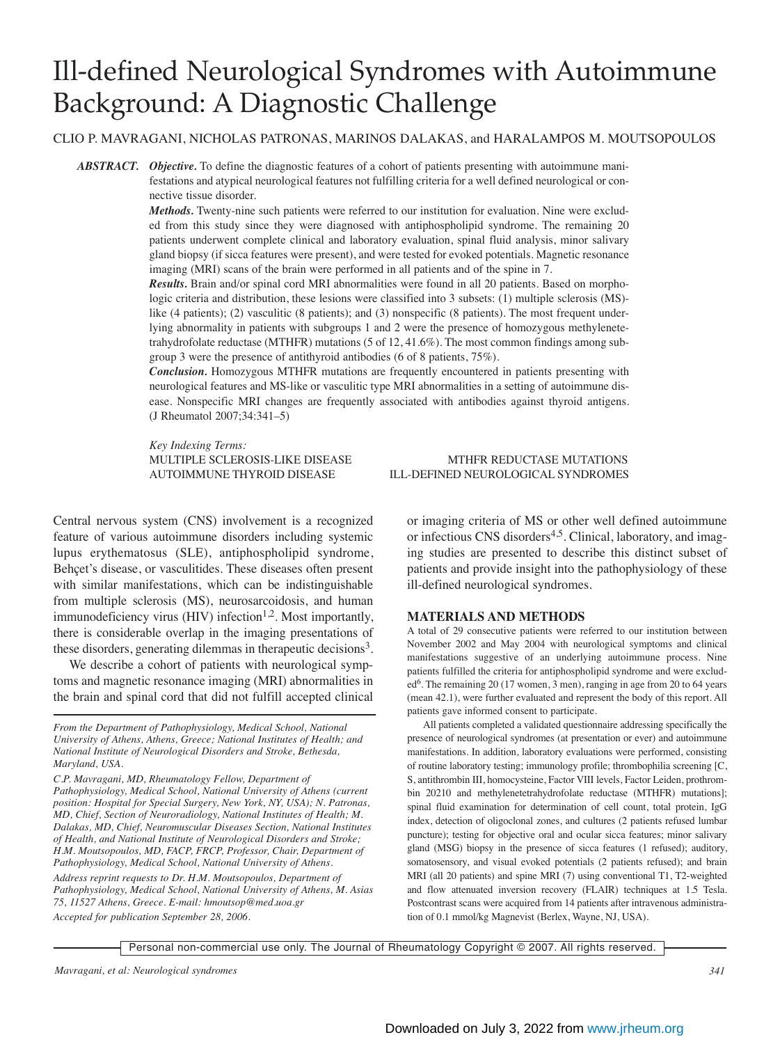# Ill-defined Neurological Syndromes with Autoimmune Background: A Diagnostic Challenge

### CLIO P. MAVRAGANI, NICHOLAS PATRONAS, MARINOS DALAKAS, and HARALAMPOS M. MOUTSOPOULOS

*ABSTRACT. Objective.* To define the diagnostic features of a cohort of patients presenting with autoimmune manifestations and atypical neurological features not fulfilling criteria for a well defined neurological or connective tissue disorder.

> *Methods.* Twenty-nine such patients were referred to our institution for evaluation. Nine were excluded from this study since they were diagnosed with antiphospholipid syndrome. The remaining 20 patients underwent complete clinical and laboratory evaluation, spinal fluid analysis, minor salivary gland biopsy (if sicca features were present), and were tested for evoked potentials. Magnetic resonance imaging (MRI) scans of the brain were performed in all patients and of the spine in 7.

> *Results.* Brain and/or spinal cord MRI abnormalities were found in all 20 patients. Based on morphologic criteria and distribution, these lesions were classified into 3 subsets: (1) multiple sclerosis (MS) like (4 patients); (2) vasculitic (8 patients); and (3) nonspecific (8 patients). The most frequent underlying abnormality in patients with subgroups 1 and 2 were the presence of homozygous methylenetetrahydrofolate reductase (MTHFR) mutations (5 of 12, 41.6%). The most common findings among subgroup 3 were the presence of antithyroid antibodies (6 of 8 patients, 75%).

> *Conclusion.* Homozygous MTHFR mutations are frequently encountered in patients presenting with neurological features and MS-like or vasculitic type MRI abnormalities in a setting of autoimmune disease. Nonspecific MRI changes are frequently associated with antibodies against thyroid antigens. (J Rheumatol 2007;34:341–5)

*Key Indexing Terms:*

Central nervous system (CNS) involvement is a recognized feature of various autoimmune disorders including systemic lupus erythematosus (SLE), antiphospholipid syndrome, Behçet's disease, or vasculitides. These diseases often present with similar manifestations, which can be indistinguishable from multiple sclerosis (MS), neurosarcoidosis, and human immunodeficiency virus  $(HIV)$  infection<sup>1,2</sup>. Most importantly, there is considerable overlap in the imaging presentations of these disorders, generating dilemmas in therapeutic decisions<sup>3</sup>.

We describe a cohort of patients with neurological symptoms and magnetic resonance imaging (MRI) abnormalities in the brain and spinal cord that did not fulfill accepted clinical

*C.P. Mavragani, MD, Rheumatology Fellow, Department of Pathophysiology, Medical School, National University of Athens (current position: Hospital for Special Surgery, New York, NY, USA); N. Patronas, MD, Chief, Section of Neuroradiology, National Institutes of Health; M. Dalakas, MD, Chief, Neuromuscular Diseases Section, National Institutes of Health, and National Institute of Neurological Disorders and Stroke; H.M. Moutsopoulos, MD, FACP, FRCP, Professor, Chair, Department of Pathophysiology, Medical School, National University of Athens.*

*Address reprint requests to Dr. H.M. Moutsopoulos, Department of Pathophysiology, Medical School, National University of Athens, M. Asias 75, 11527 Athens, Greece. E-mail: hmoutsop@med.uoa.gr Accepted for publication September 28, 2006.*

MULTIPLE SCLEROSIS-LIKE DISEASE MTHFR REDUCTASE MUTATIONS AUTOIMMUNE THYROID DISEASE **ILL-DEFINED NEUROLOGICAL SYNDROMES** 

> or imaging criteria of MS or other well defined autoimmune or infectious CNS disorders<sup>4,5</sup>. Clinical, laboratory, and imaging studies are presented to describe this distinct subset of patients and provide insight into the pathophysiology of these ill-defined neurological syndromes.

### **MATERIALS AND METHODS**

A total of 29 consecutive patients were referred to our institution between November 2002 and May 2004 with neurological symptoms and clinical manifestations suggestive of an underlying autoimmune process. Nine patients fulfilled the criteria for antiphospholipid syndrome and were exclud $ed<sup>6</sup>$ . The remaining 20 (17 women, 3 men), ranging in age from 20 to 64 years (mean 42.1), were further evaluated and represent the body of this report. All patients gave informed consent to participate.

All patients completed a validated questionnaire addressing specifically the presence of neurological syndromes (at presentation or ever) and autoimmune manifestations. In addition, laboratory evaluations were performed, consisting of routine laboratory testing; immunology profile; thrombophilia screening [C, S, antithrombin III, homocysteine, Factor VIII levels, Factor Leiden, prothrombin 20210 and methylenetetrahydrofolate reductase (MTHFR) mutations]; spinal fluid examination for determination of cell count, total protein, IgG index, detection of oligoclonal zones, and cultures (2 patients refused lumbar puncture); testing for objective oral and ocular sicca features; minor salivary gland (MSG) biopsy in the presence of sicca features (1 refused); auditory, somatosensory, and visual evoked potentials (2 patients refused); and brain MRI (all 20 patients) and spine MRI (7) using conventional T1, T2-weighted and flow attenuated inversion recovery (FLAIR) techniques at 1.5 Tesla. Postcontrast scans were acquired from 14 patients after intravenous administration of 0.1 mmol/kg Magnevist (Berlex, Wayne, NJ, USA).

*From the Department of Pathophysiology, Medical School, National University of Athens, Athens, Greece; National Institutes of Health; and National Institute of Neurological Disorders and Stroke, Bethesda, Maryland, USA.*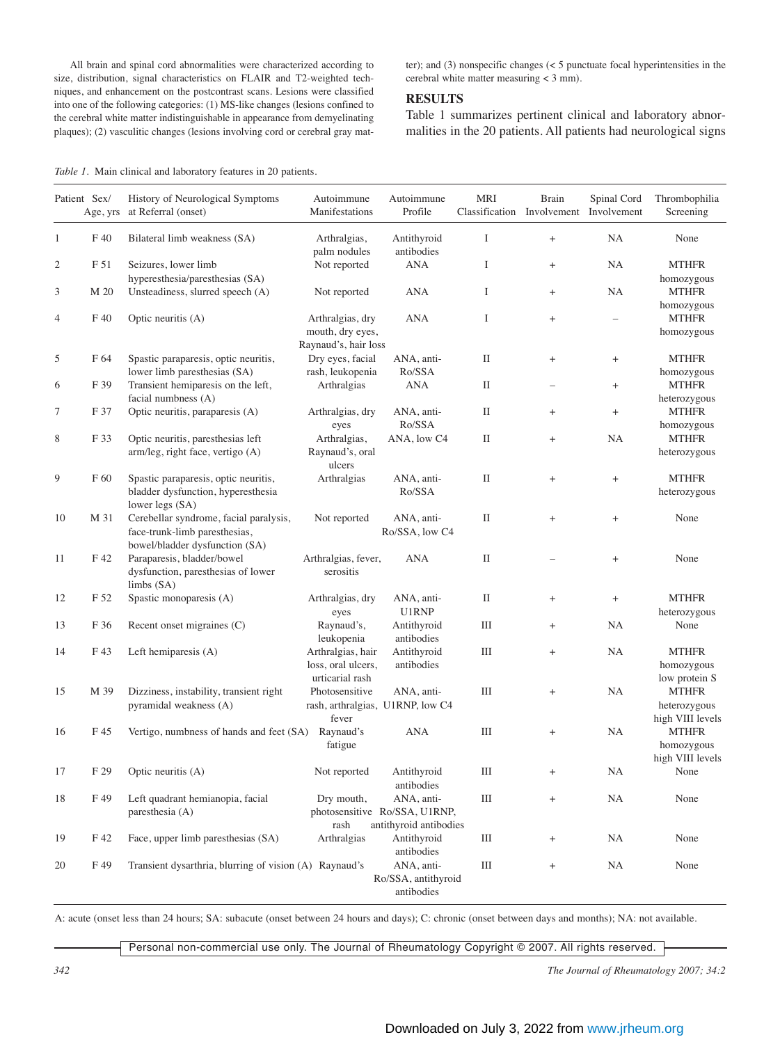All brain and spinal cord abnormalities were characterized according to size, distribution, signal characteristics on FLAIR and T2-weighted techniques, and enhancement on the postcontrast scans. Lesions were classified into one of the following categories: (1) MS-like changes (lesions confined to the cerebral white matter indistinguishable in appearance from demyelinating plaques); (2) vasculitic changes (lesions involving cord or cerebral gray matter); and (3) nonspecific changes (< 5 punctuate focal hyperintensities in the cerebral white matter measuring < 3 mm).

# **RESULTS**

Table 1 summarizes pertinent clinical and laboratory abnormalities in the 20 patients. All patients had neurological signs

| Table 1. Main clinical and laboratory features in 20 patients. |  |  |  |  |  |
|----------------------------------------------------------------|--|--|--|--|--|
|----------------------------------------------------------------|--|--|--|--|--|

| Patient Sex/   | Age, yrs   | History of Neurological Symptoms<br>at Referral (onset)                                                   | Autoimmune<br>Manifestations                                | Autoimmune<br>Profile                                                 | <b>MRI</b><br>Classification | Brain<br>Involvement             | Spinal Cord<br>Involvement       | Thrombophilia<br>Screening                       |
|----------------|------------|-----------------------------------------------------------------------------------------------------------|-------------------------------------------------------------|-----------------------------------------------------------------------|------------------------------|----------------------------------|----------------------------------|--------------------------------------------------|
| $\mathbf{1}$   | F 40       | Bilateral limb weakness (SA)                                                                              | Arthralgias,<br>palm nodules                                | Antithyroid<br>antibodies                                             | Ι                            | $\begin{array}{c} + \end{array}$ | NA                               | None                                             |
| $\overline{c}$ | F 51       | Seizures, lower limb<br>hyperesthesia/paresthesias (SA)                                                   | Not reported                                                | <b>ANA</b>                                                            | $\rm I$                      | $^{+}$                           | NA                               | <b>MTHFR</b>                                     |
| 3              | M 20       | Unsteadiness, slurred speech (A)                                                                          | Not reported                                                | <b>ANA</b>                                                            | Ι                            | $\ddot{}$                        | NA                               | homozygous<br><b>MTHFR</b><br>homozygous         |
| $\overline{4}$ | $\rm F$ 40 | Optic neuritis (A)                                                                                        | Arthralgias, dry<br>mouth, dry eyes,                        | <b>ANA</b>                                                            | Ι                            | $^+$                             | $\overline{\phantom{0}}$         | <b>MTHFR</b><br>homozygous                       |
|                |            |                                                                                                           | Raynaud's, hair loss                                        |                                                                       |                              |                                  |                                  |                                                  |
| 5              | F 64       | Spastic paraparesis, optic neuritis,<br>lower limb paresthesias (SA)                                      | Dry eyes, facial<br>rash, leukopenia                        | ANA, anti-<br>Ro/SSA                                                  | П                            | $^{+}$                           | $^{+}$                           | <b>MTHFR</b><br>homozygous                       |
| 6              | F 39       | Transient hemiparesis on the left,                                                                        | Arthralgias                                                 | <b>ANA</b>                                                            | $\rm II$                     |                                  | $^{+}$                           | <b>MTHFR</b>                                     |
| 7              | F 37       | facial numbness (A)<br>Optic neuritis, paraparesis (A)                                                    | Arthralgias, dry                                            | ANA, anti-                                                            | П                            | $^{+}$                           | $\qquad \qquad +$                | heterozygous<br><b>MTHFR</b>                     |
| 8              | F 33       | Optic neuritis, paresthesias left<br>arm/leg, right face, vertigo (A)                                     | eyes<br>Arthralgias,<br>Raynaud's, oral                     | Ro/SSA<br>ANA, low C4                                                 | $\rm II$                     | $\ddot{}$                        | NA                               | homozygous<br><b>MTHFR</b><br>heterozygous       |
|                |            |                                                                                                           | ulcers                                                      |                                                                       |                              |                                  |                                  |                                                  |
| 9              | F 60       | Spastic paraparesis, optic neuritis,<br>bladder dysfunction, hyperesthesia<br>lower legs (SA)             | Arthralgias                                                 | ANA, anti-<br>Ro/SSA                                                  | П                            | $\begin{array}{c} + \end{array}$ | $^+$                             | <b>MTHFR</b><br>heterozygous                     |
| 10             | M 31       | Cerebellar syndrome, facial paralysis,<br>face-trunk-limb paresthesias,<br>bowel/bladder dysfunction (SA) | Not reported                                                | ANA, anti-<br>Ro/SSA, low C4                                          | П                            | $^{+}$                           | $\begin{array}{c} + \end{array}$ | None                                             |
| 11             | F 42       | Paraparesis, bladder/bowel<br>dysfunction, paresthesias of lower<br>limbs (SA)                            | Arthralgias, fever,<br>serositis                            | <b>ANA</b>                                                            | П                            |                                  | $\begin{array}{c} + \end{array}$ | None                                             |
| 12             | F 52       | Spastic monoparesis (A)                                                                                   | Arthralgias, dry<br>eyes                                    | ANA, anti-<br>U1RNP                                                   | П                            | $^{+}$                           | $\qquad \qquad +$                | <b>MTHFR</b><br>heterozygous                     |
| 13             | F 36       | Recent onset migraines (C)                                                                                | Raynaud's,<br>leukopenia                                    | Antithyroid<br>antibodies                                             | Ш                            | $^{+}$                           | NA                               | None                                             |
| 14             | F 43       | Left hemiparesis (A)                                                                                      | Arthralgias, hair<br>loss, oral ulcers,<br>urticarial rash  | Antithyroid<br>antibodies                                             | Ш                            | $^{+}$                           | NA                               | <b>MTHFR</b><br>homozygous<br>low protein S      |
| 15             | M 39       | Dizziness, instability, transient right<br>pyramidal weakness (A)                                         | Photosensitive<br>rash, arthralgias, U1RNP, low C4<br>fever | ANA, anti-                                                            | Ш                            | $^{+}$                           | NA                               | <b>MTHFR</b><br>heterozygous<br>high VIII levels |
| 16             | F 45       | Vertigo, numbness of hands and feet (SA)                                                                  | Raynaud's<br>fatigue                                        | <b>ANA</b>                                                            | Ш                            | $^{+}$                           | NA                               | <b>MTHFR</b><br>homozygous<br>high VIII levels   |
| 17             | F 29       | Optic neuritis (A)                                                                                        | Not reported                                                | Antithyroid<br>antibodies                                             | Ш                            | $\ddot{}$                        | NA                               | None                                             |
| 18             | F 49       | Left quadrant hemianopia, facial<br>paresthesia (A)                                                       | Dry mouth,<br>rash                                          | ANA, anti-<br>photosensitive Ro/SSA, U1RNP,<br>antithyroid antibodies | Ш                            | $\begin{array}{c} + \end{array}$ | NA                               | None                                             |
| 19             | F 42       | Face, upper limb paresthesias (SA)                                                                        | Arthralgias                                                 | Antithyroid<br>antibodies                                             | Ш                            | $^{+}$                           | NA                               | None                                             |
| 20             | F 49       | Transient dysarthria, blurring of vision (A) Raynaud's                                                    |                                                             | ANA, anti-<br>Ro/SSA, antithyroid<br>antibodies                       | $\rm III$                    | $\begin{array}{c} + \end{array}$ | NA                               | None                                             |

A: acute (onset less than 24 hours; SA: subacute (onset between 24 hours and days); C: chronic (onset between days and months); NA: not available.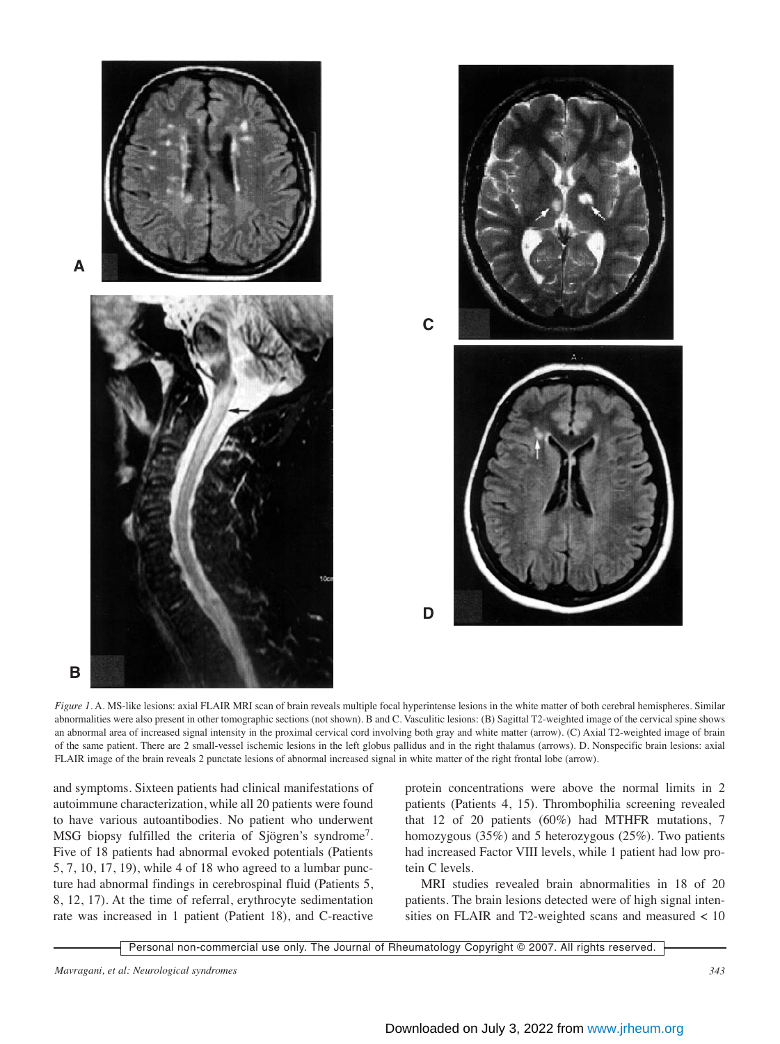

*Figure 1.* A. MS-like lesions: axial FLAIR MRI scan of brain reveals multiple focal hyperintense lesions in the white matter of both cerebral hemispheres. Similar abnormalities were also present in other tomographic sections (not shown). B and C. Vasculitic lesions: (B) Sagittal T2-weighted image of the cervical spine shows an abnormal area of increased signal intensity in the proximal cervical cord involving both gray and white matter (arrow). (C) Axial T2-weighted image of brain of the same patient. There are 2 small-vessel ischemic lesions in the left globus pallidus and in the right thalamus (arrows). D. Nonspecific brain lesions: axial FLAIR image of the brain reveals 2 punctate lesions of abnormal increased signal in white matter of the right frontal lobe (arrow).

and symptoms. Sixteen patients had clinical manifestations of autoimmune characterization, while all 20 patients were found to have various autoantibodies. No patient who underwent MSG biopsy fulfilled the criteria of Sjögren's syndrome7. Five of 18 patients had abnormal evoked potentials (Patients 5, 7, 10, 17, 19), while 4 of 18 who agreed to a lumbar puncture had abnormal findings in cerebrospinal fluid (Patients 5, 8, 12, 17). At the time of referral, erythrocyte sedimentation rate was increased in 1 patient (Patient 18), and C-reactive protein concentrations were above the normal limits in 2 patients (Patients 4, 15). Thrombophilia screening revealed that 12 of 20 patients (60%) had MTHFR mutations, 7 homozygous (35%) and 5 heterozygous (25%). Two patients had increased Factor VIII levels, while 1 patient had low protein C levels.

MRI studies revealed brain abnormalities in 18 of 20 patients. The brain lesions detected were of high signal intensities on FLAIR and T2-weighted scans and measured < 10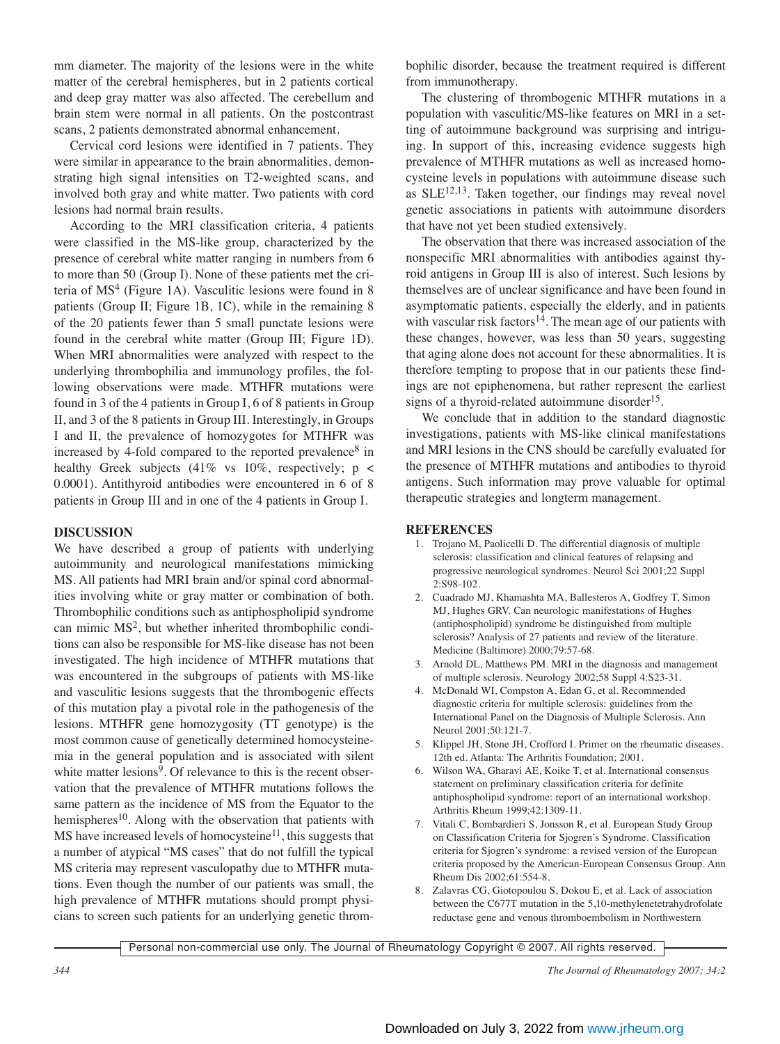mm diameter. The majority of the lesions were in the white matter of the cerebral hemispheres, but in 2 patients cortical and deep gray matter was also affected. The cerebellum and brain stem were normal in all patients. On the postcontrast scans, 2 patients demonstrated abnormal enhancement.

Cervical cord lesions were identified in 7 patients. They were similar in appearance to the brain abnormalities, demonstrating high signal intensities on T2-weighted scans, and involved both gray and white matter. Two patients with cord lesions had normal brain results.

According to the MRI classification criteria, 4 patients were classified in the MS-like group, characterized by the presence of cerebral white matter ranging in numbers from 6 to more than 50 (Group I). None of these patients met the criteria of  $MS<sup>4</sup>$  (Figure 1A). Vasculitic lesions were found in 8 patients (Group II; Figure 1B, 1C), while in the remaining 8 of the 20 patients fewer than 5 small punctate lesions were found in the cerebral white matter (Group III; Figure 1D). When MRI abnormalities were analyzed with respect to the underlying thrombophilia and immunology profiles, the following observations were made. MTHFR mutations were found in 3 of the 4 patients in Group I, 6 of 8 patients in Group II, and 3 of the 8 patients in Group III. Interestingly, in Groups I and II, the prevalence of homozygotes for MTHFR was increased by 4-fold compared to the reported prevalence<sup>8</sup> in healthy Greek subjects  $(41\% \text{ vs } 10\%$ , respectively; p < 0.0001). Antithyroid antibodies were encountered in 6 of 8 patients in Group III and in one of the 4 patients in Group I.

## **DISCUSSION**

We have described a group of patients with underlying autoimmunity and neurological manifestations mimicking MS. All patients had MRI brain and/or spinal cord abnormalities involving white or gray matter or combination of both. Thrombophilic conditions such as antiphospholipid syndrome can mimic MS2, but whether inherited thrombophilic conditions can also be responsible for MS-like disease has not been investigated. The high incidence of MTHFR mutations that was encountered in the subgroups of patients with MS-like and vasculitic lesions suggests that the thrombogenic effects of this mutation play a pivotal role in the pathogenesis of the lesions. MTHFR gene homozygosity (TT genotype) is the most common cause of genetically determined homocysteinemia in the general population and is associated with silent white matter lesions<sup>9</sup>. Of relevance to this is the recent observation that the prevalence of MTHFR mutations follows the same pattern as the incidence of MS from the Equator to the hemispheres<sup>10</sup>. Along with the observation that patients with  $MS$  have increased levels of homocysteine<sup>11</sup>, this suggests that a number of atypical "MS cases" that do not fulfill the typical MS criteria may represent vasculopathy due to MTHFR mutations. Even though the number of our patients was small, the high prevalence of MTHFR mutations should prompt physicians to screen such patients for an underlying genetic thrombophilic disorder, because the treatment required is different from immunotherapy.

The clustering of thrombogenic MTHFR mutations in a population with vasculitic/MS-like features on MRI in a setting of autoimmune background was surprising and intriguing. In support of this, increasing evidence suggests high prevalence of MTHFR mutations as well as increased homocysteine levels in populations with autoimmune disease such as SLE<sup>12,13</sup>. Taken together, our findings may reveal novel genetic associations in patients with autoimmune disorders that have not yet been studied extensively.

The observation that there was increased association of the nonspecific MRI abnormalities with antibodies against thyroid antigens in Group III is also of interest. Such lesions by themselves are of unclear significance and have been found in asymptomatic patients, especially the elderly, and in patients with vascular risk factors<sup>14</sup>. The mean age of our patients with these changes, however, was less than 50 years, suggesting that aging alone does not account for these abnormalities. It is therefore tempting to propose that in our patients these findings are not epiphenomena, but rather represent the earliest signs of a thyroid-related autoimmune disorder<sup>15</sup>.

We conclude that in addition to the standard diagnostic investigations, patients with MS-like clinical manifestations and MRI lesions in the CNS should be carefully evaluated for the presence of MTHFR mutations and antibodies to thyroid antigens. Such information may prove valuable for optimal therapeutic strategies and longterm management.

## **REFERENCES**

- 1. Trojano M, Paolicelli D. The differential diagnosis of multiple sclerosis: classification and clinical features of relapsing and progressive neurological syndromes. Neurol Sci 2001;22 Suppl 2:S98-102.
- 2. Cuadrado MJ, Khamashta MA, Ballesteros A, Godfrey T, Simon MJ, Hughes GRV. Can neurologic manifestations of Hughes (antiphospholipid) syndrome be distinguished from multiple sclerosis? Analysis of 27 patients and review of the literature. Medicine (Baltimore) 2000;79:57-68.
- 3. Arnold DL, Matthews PM. MRI in the diagnosis and management of multiple sclerosis. Neurology 2002;58 Suppl 4:S23-31.
- 4. McDonald WI, Compston A, Edan G, et al. Recommended diagnostic criteria for multiple sclerosis: guidelines from the International Panel on the Diagnosis of Multiple Sclerosis. Ann Neurol 2001;50:121-7.
- 5. Klippel JH, Stone JH, Crofford I. Primer on the rheumatic diseases. 12th ed. Atlanta: The Arthritis Foundation; 2001.
- 6. Wilson WA, Gharavi AE, Koike T, et al. International consensus statement on preliminary classification criteria for definite antiphospholipid syndrome: report of an international workshop. Arthritis Rheum 1999;42:1309-11.
- 7. Vitali C, Bombardieri S, Jonsson R, et al. European Study Group on Classification Criteria for Sjogren's Syndrome. Classification criteria for Sjogren's syndrome: a revised version of the European criteria proposed by the American-European Consensus Group. Ann Rheum Dis 2002;61:554-8.
- 8. Zalavras CG, Giotopoulou S, Dokou E, et al. Lack of association between the C677T mutation in the 5,10-methylenetetrahydrofolate reductase gene and venous thromboembolism in Northwestern